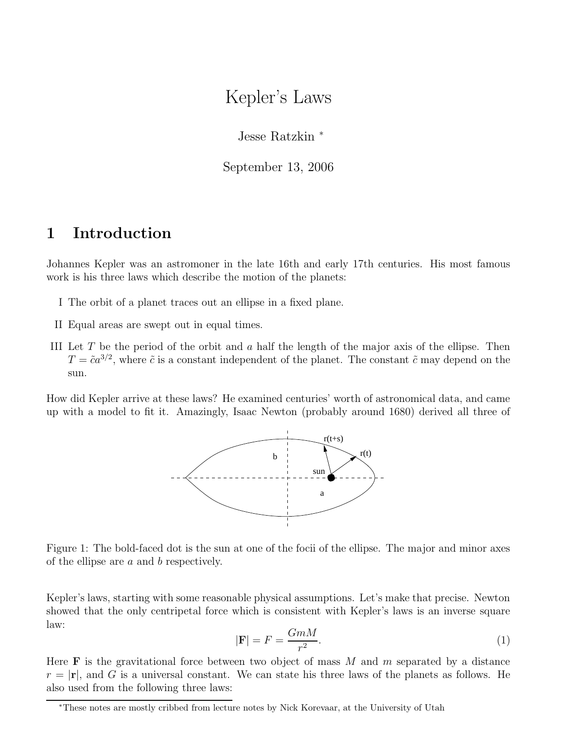# Kepler's Laws

Jesse Ratzkin <sup>∗</sup>

September 13, 2006

## 1 Introduction

Johannes Kepler was an astromoner in the late 16th and early 17th centuries. His most famous work is his three laws which describe the motion of the planets:

- I The orbit of a planet traces out an ellipse in a fixed plane.
- II Equal areas are swept out in equal times.
- III Let T be the period of the orbit and a half the length of the major axis of the ellipse. Then  $T = \tilde{c}a^{3/2}$ , where  $\tilde{c}$  is a constant independent of the planet. The constant  $\tilde{c}$  may depend on the sun.

How did Kepler arrive at these laws? He examined centuries' worth of astronomical data, and came up with a model to fit it. Amazingly, Isaac Newton (probably around 1680) derived all three of



Figure 1: The bold-faced dot is the sun at one of the focii of the ellipse. The major and minor axes of the ellipse are  $a$  and  $b$  respectively.

Kepler's laws, starting with some reasonable physical assumptions. Let's make that precise. Newton showed that the only centripetal force which is consistent with Kepler's laws is an inverse square law:

$$
|\mathbf{F}| = F = \frac{GmM}{r^2}.\tag{1}
$$

Here **F** is the gravitational force between two object of mass M and m separated by a distance  $r = |\mathbf{r}|$ , and G is a universal constant. We can state his three laws of the planets as follows. He also used from the following three laws:

<sup>∗</sup>These notes are mostly cribbed from lecture notes by Nick Korevaar, at the University of Utah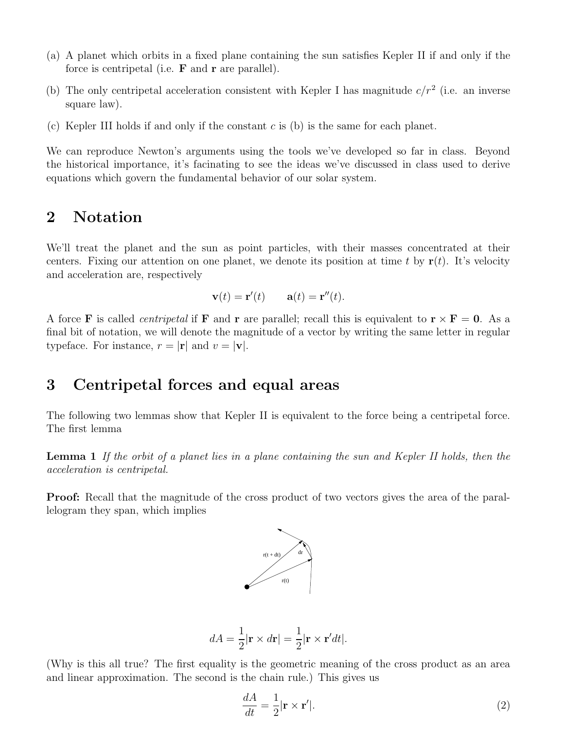- (a) A planet which orbits in a fixed plane containing the sun satisfies Kepler II if and only if the force is centripetal (i.e.  $\bf{F}$  and  $\bf{r}$  are parallel).
- (b) The only centripetal acceleration consistent with Kepler I has magnitude  $c/r^2$  (i.e. an inverse square law).
- (c) Kepler III holds if and only if the constant  $c$  is (b) is the same for each planet.

We can reproduce Newton's arguments using the tools we've developed so far in class. Beyond the historical importance, it's facinating to see the ideas we've discussed in class used to derive equations which govern the fundamental behavior of our solar system.

### 2 Notation

We'll treat the planet and the sun as point particles, with their masses concentrated at their centers. Fixing our attention on one planet, we denote its position at time t by  $\mathbf{r}(t)$ . It's velocity and acceleration are, respectively

$$
\mathbf{v}(t) = \mathbf{r}'(t) \qquad \mathbf{a}(t) = \mathbf{r}''(t).
$$

A force **F** is called *centripetal* if **F** and **r** are parallel; recall this is equivalent to  $\mathbf{r} \times \mathbf{F} = 0$ . As a final bit of notation, we will denote the magnitude of a vector by writing the same letter in regular typeface. For instance,  $r = |\mathbf{r}|$  and  $v = |\mathbf{v}|$ .

### 3 Centripetal forces and equal areas

The following two lemmas show that Kepler II is equivalent to the force being a centripetal force. The first lemma

Lemma 1 If the orbit of a planet lies in a plane containing the sun and Kepler II holds, then the acceleration is centripetal.

Proof: Recall that the magnitude of the cross product of two vectors gives the area of the parallelogram they span, which implies



$$
dA = \frac{1}{2} |\mathbf{r} \times d\mathbf{r}| = \frac{1}{2} |\mathbf{r} \times \mathbf{r}' dt|.
$$

(Why is this all true? The first equality is the geometric meaning of the cross product as an area and linear approximation. The second is the chain rule.) This gives us

$$
\frac{dA}{dt} = \frac{1}{2} |\mathbf{r} \times \mathbf{r}'|.
$$
 (2)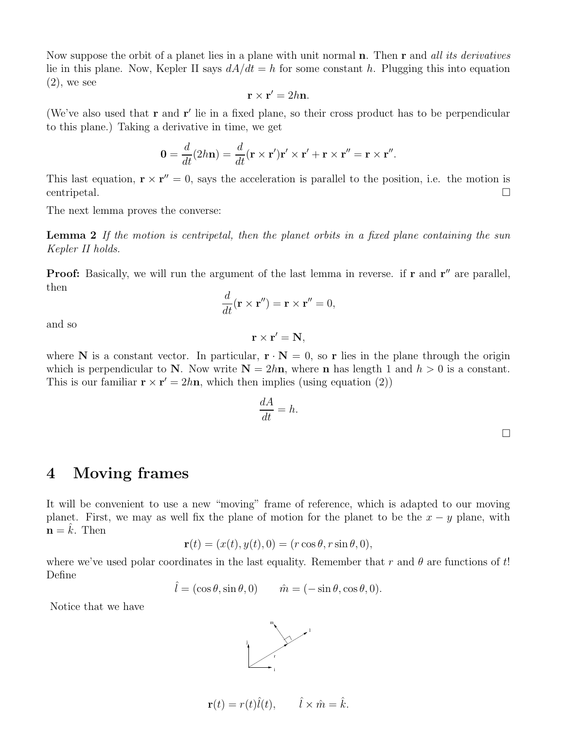Now suppose the orbit of a planet lies in a plane with unit normal **n**. Then **r** and all its derivatives lie in this plane. Now, Kepler II says  $dA/dt = h$  for some constant h. Plugging this into equation  $(2)$ , we see

$$
\mathbf{r} \times \mathbf{r}' = 2h\mathbf{n}.
$$

(We've also used that  $\bf{r}$  and  $\bf{r}'$  lie in a fixed plane, so their cross product has to be perpendicular to this plane.) Taking a derivative in time, we get

$$
\mathbf{0} = \frac{d}{dt}(2h\mathbf{n}) = \frac{d}{dt}(\mathbf{r} \times \mathbf{r}')\mathbf{r}' \times \mathbf{r}' + \mathbf{r} \times \mathbf{r}'' = \mathbf{r} \times \mathbf{r}''.
$$

This last equation,  $\mathbf{r} \times \mathbf{r}'' = 0$ , says the acceleration is parallel to the position, i.e. the motion is  $\Box$  centripetal.

The next lemma proves the converse:

Lemma 2 If the motion is centripetal, then the planet orbits in a fixed plane containing the sun Kepler II holds.

**Proof:** Basically, we will run the argument of the last lemma in reverse. if  $\mathbf{r}$  and  $\mathbf{r}''$  are parallel, then

$$
\frac{d}{dt}(\mathbf{r} \times \mathbf{r''}) = \mathbf{r} \times \mathbf{r''} = 0,
$$

and so

$$
\mathbf{r}\times\mathbf{r}'=\mathbf{N},
$$

where N is a constant vector. In particular,  $\mathbf{r} \cdot \mathbf{N} = 0$ , so r lies in the plane through the origin which is perpendicular to N. Now write  $N = 2h\mathbf{n}$ , where  $\mathbf{n}$  has length 1 and  $h > 0$  is a constant. This is our familiar  $\mathbf{r} \times \mathbf{r}' = 2h\mathbf{n}$ , which then implies (using equation (2))

$$
\frac{dA}{dt} = h.
$$

#### 4 Moving frames

It will be convenient to use a new "moving" frame of reference, which is adapted to our moving planet. First, we may as well fix the plane of motion for the planet to be the  $x - y$  plane, with  $\mathbf{n} = k$ . Then

$$
\mathbf{r}(t) = (x(t), y(t), 0) = (r \cos \theta, r \sin \theta, 0),
$$

where we've used polar coordinates in the last equality. Remember that r and  $\theta$  are functions of t! Define

$$
\hat{l} = (\cos \theta, \sin \theta, 0)
$$
  $\hat{m} = (-\sin \theta, \cos \theta, 0).$ 

Notice that we have



$$
\mathbf{r}(t) = r(t)\hat{l}(t), \qquad \hat{l} \times \hat{m} = \hat{k}.
$$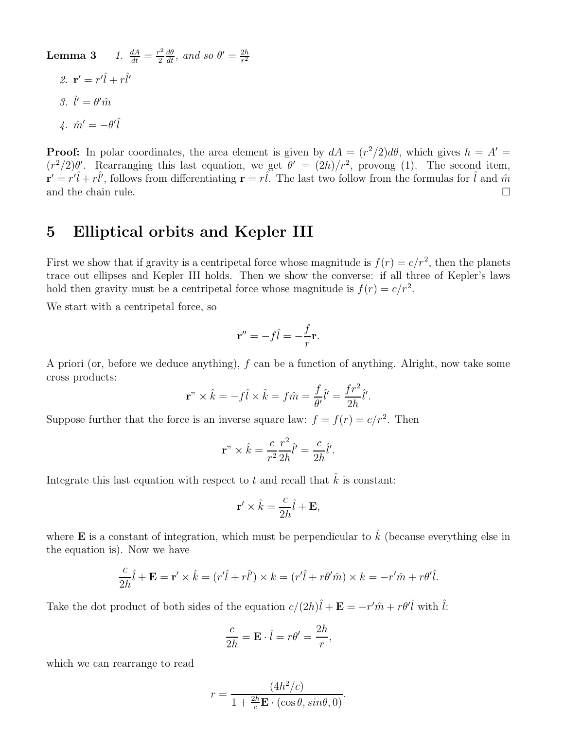**Lemma 3** 1.  $\frac{dA}{dt} = \frac{r^2}{2}$  $\frac{c^2}{2} \frac{d\theta}{dt}$ , and so  $\theta' = \frac{2h}{r^2}$  $r^2$ 2.  $\mathbf{r}' = r'\hat{l} + r\hat{l}'$ 3.  $\hat{l}' = \theta' \hat{m}$  $4. \hat{m}' = -\theta'\hat{l}$ 

**Proof:** In polar coordinates, the area element is given by  $dA = (r^2/2)d\theta$ , which gives  $h = A' =$  $(r^2/2)\theta'$ . Rearranging this last equation, we get  $\theta' = (2h)/r^2$ , provong (1). The second item,  $\mathbf{r}' = r'\hat{l} + r\hat{l}'$ , follows from differentiating  $\mathbf{r} = r\hat{l}$ . The last two follow from the formulas for  $\hat{l}$  and  $\hat{m}$ and the chain rule.  $\Box$ 

### 5 Elliptical orbits and Kepler III

First we show that if gravity is a centripetal force whose magnitude is  $f(r) = c/r^2$ , then the planets trace out ellipses and Kepler III holds. Then we show the converse: if all three of Kepler's laws hold then gravity must be a centripetal force whose magnitude is  $f(r) = c/r^2$ .

We start with a centripetal force, so

$$
\mathbf{r}'' = -f\hat{l} = -\frac{f}{r}\mathbf{r}.
$$

A priori (or, before we deduce anything), f can be a function of anything. Alright, now take some cross products:

$$
\mathbf{r}^{n} \times \hat{k} = -f\hat{l} \times \hat{k} = f\hat{m} = \frac{f}{\theta'}\hat{l}' = \frac{fr^{2}}{2h}\hat{l}'.
$$

Suppose further that the force is an inverse square law:  $f = f(r) = c/r^2$ . Then

$$
\mathbf{r}^{"} \times \hat{k} = \frac{c}{r^2} \frac{r^2}{2h} \hat{l}' = \frac{c}{2h} \hat{l}'.
$$

Integrate this last equation with respect to t and recall that  $\hat{k}$  is constant:

$$
\mathbf{r}' \times \hat{k} = \frac{c}{2h} \hat{l} + \mathbf{E},
$$

where **E** is a constant of integration, which must be perpendicular to  $\hat{k}$  (because everything else in the equation is). Now we have

$$
\frac{c}{2h}\hat{l} + \mathbf{E} = \mathbf{r}' \times \hat{k} = (r'\hat{l} + r\hat{l}') \times k = (r'\hat{l} + r\theta'\hat{m}) \times k = -r'\hat{m} + r\theta'\hat{l}.
$$

Take the dot product of both sides of the equation  $c/(2h)\hat{l} + \mathbf{E} = -r'\hat{m} + r\theta'\hat{l}$  with  $\hat{l}$ :

$$
\frac{c}{2h} = \mathbf{E} \cdot \hat{l} = r\theta' = \frac{2h}{r},
$$

which we can rearrange to read

$$
r = \frac{(4h^2/c)}{1+\frac{2h}{c}\mathbf{E}\cdot(\cos\theta,\sin\theta,0)}
$$

.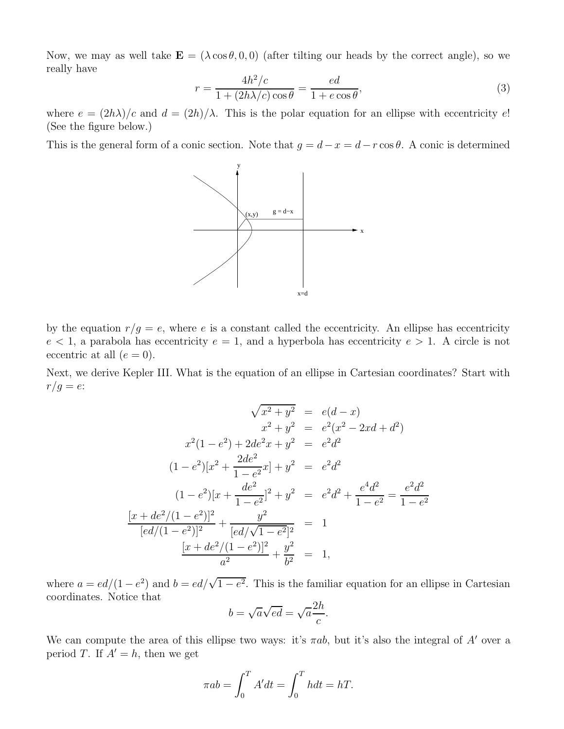Now, we may as well take  $\mathbf{E} = (\lambda \cos \theta, 0, 0)$  (after tilting our heads by the correct angle), so we really have

$$
r = \frac{4h^2/c}{1 + (2h\lambda/c)\cos\theta} = \frac{ed}{1 + e\cos\theta},
$$
\n(3)

where  $e = (2h\lambda)/c$  and  $d = (2h)/\lambda$ . This is the polar equation for an ellipse with eccentricity e! (See the figure below.)

This is the general form of a conic section. Note that  $g = d - x = d - r \cos \theta$ . A conic is determined



by the equation  $r/g = e$ , where e is a constant called the eccentricity. An ellipse has eccentricity  $e < 1$ , a parabola has eccentricity  $e = 1$ , and a hyperbola has eccentricity  $e > 1$ . A circle is not eccentric at all  $(e = 0)$ .

Next, we derive Kepler III. What is the equation of an ellipse in Cartesian coordinates? Start with  $r/g = e$ :

$$
\sqrt{x^2 + y^2} = e(d - x)
$$
  
\n
$$
x^2 + y^2 = e^2(x^2 - 2xd + d^2)
$$
  
\n
$$
x^2(1 - e^2) + 2de^2x + y^2 = e^2d^2
$$
  
\n
$$
(1 - e^2)[x^2 + \frac{2de^2}{1 - e^2}x] + y^2 = e^2d^2
$$
  
\n
$$
(1 - e^2)[x + \frac{de^2}{1 - e^2}x^2] + y^2 = e^2d^2 + \frac{e^4d^2}{1 - e^2} = \frac{e^2d^2}{1 - e^2}
$$
  
\n
$$
\frac{[x + de^2/(1 - e^2)]^2}{[ed/(1 - e^2)]^2} + \frac{y^2}{[ed/\sqrt{1 - e^2}]^2} = 1
$$
  
\n
$$
\frac{[x + de^2/(1 - e^2)]^2}{a^2} + \frac{y^2}{b^2} = 1,
$$

where  $a = ed/(1-e^2)$  and  $b = ed/\sqrt{1-e^2}$ . This is the familiar equation for an ellipse in Cartesian coordinates. Notice that

$$
b = \sqrt{a\sqrt{ed}} = \sqrt{a}\frac{2h}{c}.
$$

We can compute the area of this ellipse two ways: it's  $\pi ab$ , but it's also the integral of A' over a period T. If  $A' = h$ , then we get

$$
\pi ab = \int_0^T A' dt = \int_0^T h dt = hT.
$$